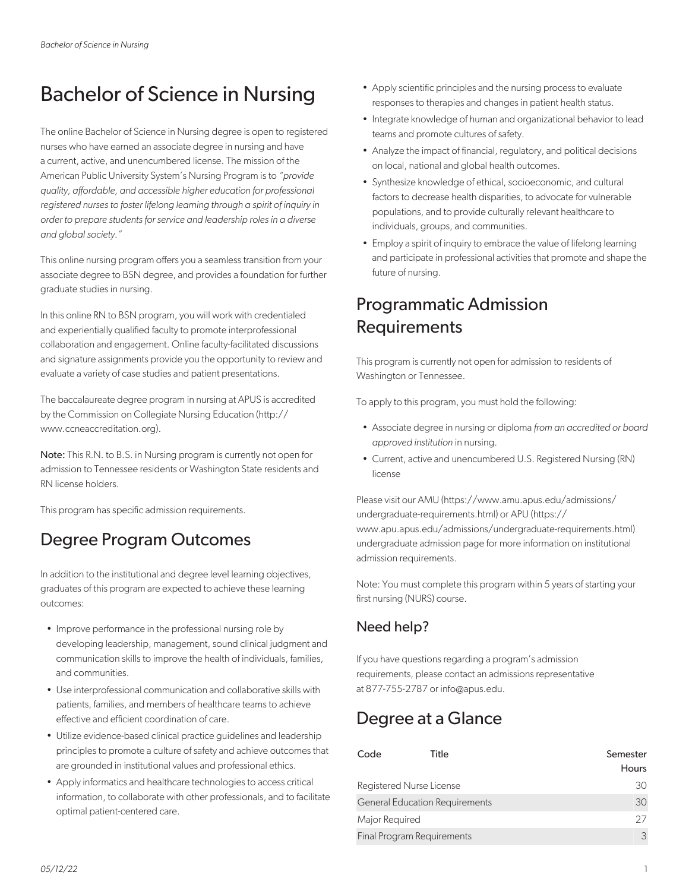# Bachelor of Science in Nursing

The online Bachelor of Science in Nursing degree is open to registered nurses who have earned an associate degree in nursing and have a current, active, and unencumbered license. The mission of the American Public University System's Nursing Program is to *"provide quality, affordable, and accessible higher education for professional registered nurses to foster lifelong learning through a spirit of inquiry in order to prepare students for service and leadership roles in a diverse and global society."*

This online nursing program offers you a seamless transition from your associate degree to BSN degree, and provides a foundation for further graduate studies in nursing.

In this online RN to BSN program, you will work with credentialed and experientially qualified faculty to promote interprofessional collaboration and engagement. Online faculty-facilitated discussions and signature assignments provide you the opportunity to review and evaluate a variety of case studies and patient presentations.

The baccalaureate degree program in nursing at APUS is accredited by the Commission on Collegiate Nursing Education (http:// www.ccneaccreditation.org).

Note: This R.N. to B.S. in Nursing program is currently not open for admission to Tennessee residents or Washington State residents and RN license holders.

This program has specific admission requirements.

# Degree Program Outcomes

In addition to the institutional and degree level learning objectives, graduates of this program are expected to achieve these learning outcomes:

- Improve performance in the professional nursing role by developing leadership, management, sound clinical judgment and communication skills to improve the health of individuals, families, and communities.
- Use interprofessional communication and collaborative skills with patients, families, and members of healthcare teams to achieve effective and efficient coordination of care.
- Utilize evidence-based clinical practice guidelines and leadership principles to promote a culture of safety and achieve outcomes that are grounded in institutional values and professional ethics.
- Apply informatics and healthcare technologies to access critical information, to collaborate with other professionals, and to facilitate optimal patient-centered care.
- Apply scientific principles and the nursing process to evaluate responses to therapies and changes in patient health status.
- Integrate knowledge of human and organizational behavior to lead teams and promote cultures of safety.
- Analyze the impact of financial, regulatory, and political decisions on local, national and global health outcomes.
- Synthesize knowledge of ethical, socioeconomic, and cultural factors to decrease health disparities, to advocate for vulnerable populations, and to provide culturally relevant healthcare to individuals, groups, and communities.
- Employ a spirit of inquiry to embrace the value of lifelong learning and participate in professional activities that promote and shape the future of nursing.

### Programmatic Admission Requirements

This program is currently not open for admission to residents of Washington or Tennessee.

To apply to this program, you must hold the following:

- Associate degree in nursing or diploma *from an accredited or board approved institution* in nursing.
- Current, active and unencumbered U.S. Registered Nursing (RN) license

Please visit our AMU (https://www.amu.apus.edu/admissions/ undergraduate-requirements.html) or APU (https:// www.apu.apus.edu/admissions/undergraduate-requirements.html) undergraduate admission page for more information on institutional admission requirements.

Note: You must complete this program within 5 years of starting your first nursing (NURS) course.

#### Need help?

If you have questions regarding a program's admission requirements, please contact an admissions representative at 877-755-2787 or info@apus.edu.

### Degree at a Glance

| Code           | Title                                 | Semester     |
|----------------|---------------------------------------|--------------|
|                |                                       | <b>Hours</b> |
|                | Registered Nurse License              | 30           |
|                | <b>General Education Requirements</b> | 30           |
| Major Required |                                       | 27           |
|                | Final Program Requirements            | 3            |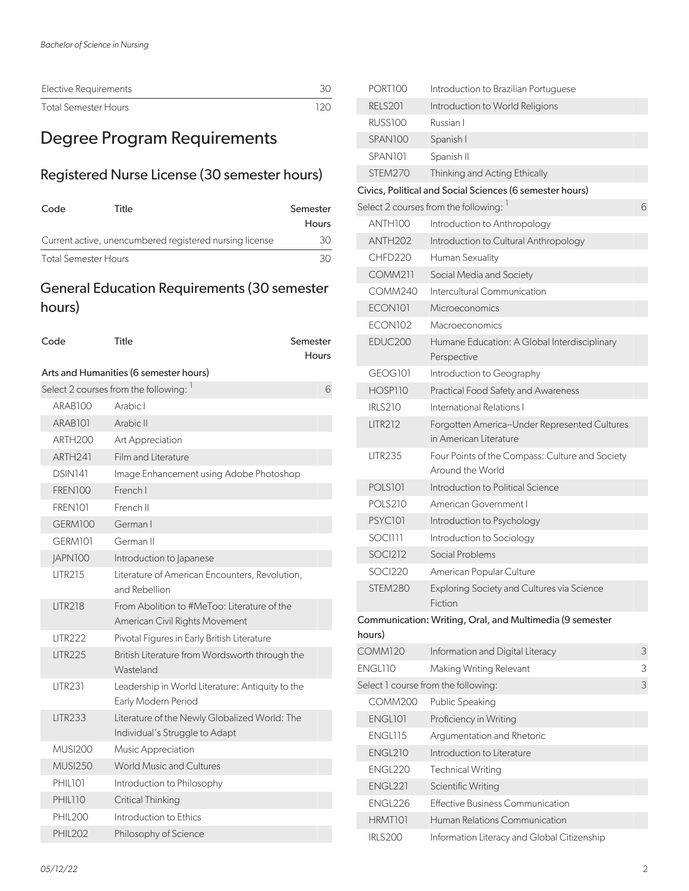| Elective Requirements |      |
|-----------------------|------|
| Total Semester Hours  | 120. |

# Degree Program Requirements

#### Registered Nurse License (30 semester hours)

| Code                 | Title                                                   | Semester     |
|----------------------|---------------------------------------------------------|--------------|
|                      |                                                         | <b>Hours</b> |
|                      | Current active, unencumbered registered nursing license | 30.          |
| Total Semester Hours |                                                         | 3U.          |

#### General Education Requirements (30 semester hours)

| Code                                 | Title                                                                           | Semester<br><b>Hours</b> |  |
|--------------------------------------|---------------------------------------------------------------------------------|--------------------------|--|
|                                      | Arts and Humanities (6 semester hours)                                          |                          |  |
| Select 2 courses from the following: |                                                                                 |                          |  |
| ARABIOO                              | Arabic I                                                                        |                          |  |
| ARAB <sub>101</sub>                  | Arabic II                                                                       |                          |  |
| ARTH <sub>200</sub>                  | Art Appreciation                                                                |                          |  |
| ARTH <sub>241</sub>                  | Film and Literature                                                             |                          |  |
| DSIN141                              | Image Enhancement using Adobe Photoshop                                         |                          |  |
| <b>FREN100</b>                       | French I                                                                        |                          |  |
| FREN101                              | French II                                                                       |                          |  |
| GERM100                              | German I                                                                        |                          |  |
| GERM101                              | German II                                                                       |                          |  |
| <b>JAPN100</b>                       | Introduction to Japanese                                                        |                          |  |
| <b>LITR215</b>                       | Literature of American Encounters, Revolution,<br>and Rebellion                 |                          |  |
| <b>LITR218</b>                       | From Abolition to #MeToo: Literature of the<br>American Civil Rights Movement   |                          |  |
| <b>LITR222</b>                       | Pivotal Figures in Early British Literature                                     |                          |  |
| <b>LITR225</b>                       | British Literature from Wordsworth through the<br>Wasteland                     |                          |  |
| <b>LITR231</b>                       | Leadership in World Literature: Antiquity to the<br>Early Modern Period         |                          |  |
| <b>LITR233</b>                       | Literature of the Newly Globalized World: The<br>Individual's Struggle to Adapt |                          |  |
| <b>MUSI200</b>                       | Music Appreciation                                                              |                          |  |
| <b>MUSI250</b>                       | <b>World Music and Cultures</b>                                                 |                          |  |
| PHIL101                              | Introduction to Philosophy                                                      |                          |  |
| PHIL110                              | <b>Critical Thinking</b>                                                        |                          |  |
| <b>PHIL200</b>                       | Introduction to Ethics                                                          |                          |  |
| <b>PHIL202</b>                       | Philosophy of Science                                                           |                          |  |

| PORT100             | Introduction to Brazilian Portuguese                                    |   |
|---------------------|-------------------------------------------------------------------------|---|
| <b>RELS201</b>      | Introduction to World Religions                                         |   |
| RUSS100             | Russian I                                                               |   |
| SPAN <sub>100</sub> | Spanish I                                                               |   |
| SPAN101             | Spanish II                                                              |   |
| STEM270             | Thinking and Acting Ethically                                           |   |
|                     | Civics, Political and Social Sciences (6 semester hours)                |   |
|                     | Select 2 courses from the following: 1                                  | 6 |
| ANTH100             | Introduction to Anthropology                                            |   |
| ANTH <sub>202</sub> | Introduction to Cultural Anthropology                                   |   |
| CHFD220             | Human Sexuality                                                         |   |
| <b>COMM211</b>      | Social Media and Society                                                |   |
| COMM240             | Intercultural Communication                                             |   |
| ECON <sub>101</sub> | Microeconomics                                                          |   |
| ECON102             | Macroeconomics                                                          |   |
| EDUC200             | Humane Education: A Global Interdisciplinary<br>Perspective             |   |
| GEOGI01             | Introduction to Geography                                               |   |
| HOSP110             | Practical Food Safety and Awareness                                     |   |
| <b>IRLS210</b>      | International Relations I                                               |   |
| <b>LITR212</b>      | Forgotten America--Under Represented Cultures<br>in American Literature |   |
| <b>LITR235</b>      | Four Points of the Compass: Culture and Society<br>Around the World     |   |
| <b>POLS101</b>      | Introduction to Political Science                                       |   |
| <b>POLS210</b>      | American Government I                                                   |   |
| PSYC101             | Introduction to Psychology                                              |   |
| SOCI111             | Introduction to Sociology                                               |   |
| <b>SOCI212</b>      | Social Problems                                                         |   |
| SOCI220             | American Popular Culture                                                |   |
| STEM280             | Exploring Society and Cultures via Science<br>Fiction                   |   |
| hours)              | Communication: Writing, Oral, and Multimedia (9 semester                |   |
| <b>COMM120</b>      | Information and Digital Literacy                                        | 3 |
| ENGL110             | Making Writing Relevant                                                 | З |
|                     | Select 1 course from the following:                                     | 3 |
| <b>COMM200</b>      | Public Speaking                                                         |   |
| ENGL101             | Proficiency in Writing                                                  |   |
| ENGL115             | Argumentation and Rhetoric                                              |   |
| <b>ENGL210</b>      | Introduction to Literature                                              |   |
| ENGL220             | <b>Technical Writing</b>                                                |   |
| ENGL221             | Scientific Writing                                                      |   |
| ENGL226             | <b>Effective Business Communication</b>                                 |   |
| HRMT101             | Human Relations Communication                                           |   |
| <b>IRLS200</b>      | Information Literacy and Global Citizenship                             |   |